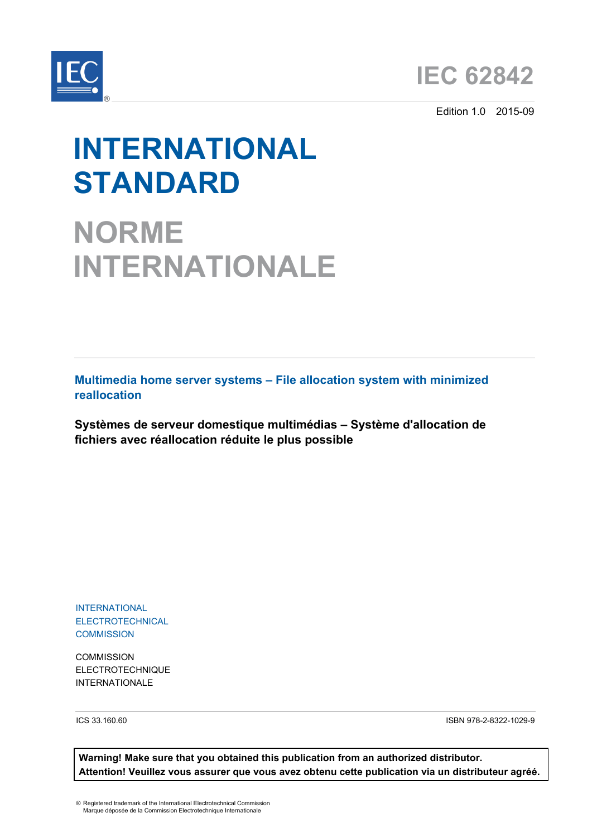

Edition 1.0 2015-09

# **INTERNATIONAL STANDARD**

**NORME INTERNATIONALE**

**Multimedia home server systems – File allocation system with minimized reallocation**

**Systèmes de serveur domestique multimédias – Système d'allocation de fichiers avec réallocation réduite le plus possible**

INTERNATIONAL ELECTROTECHNICAL **COMMISSION** 

**COMMISSION** ELECTROTECHNIQUE INTERNATIONALE

ICS 33.160.60 ISBN 978-2-8322-1029-9

**Warning! Make sure that you obtained this publication from an authorized distributor. Attention! Veuillez vous assurer que vous avez obtenu cette publication via un distributeur agréé.**

® Registered trademark of the International Electrotechnical Commission Marque déposée de la Commission Electrotechnique Internationale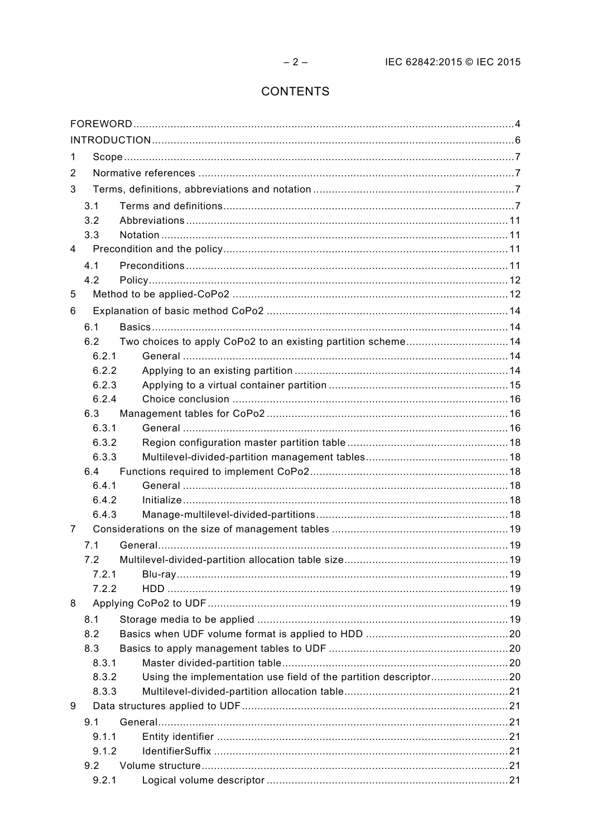# CONTENTS

| 1 |       |                                                                  |  |  |  |  |
|---|-------|------------------------------------------------------------------|--|--|--|--|
| 2 |       |                                                                  |  |  |  |  |
| 3 |       |                                                                  |  |  |  |  |
|   | 3.1   |                                                                  |  |  |  |  |
|   | 3.2   |                                                                  |  |  |  |  |
|   | 3.3   |                                                                  |  |  |  |  |
| 4 |       |                                                                  |  |  |  |  |
|   | 4.1   |                                                                  |  |  |  |  |
|   | 4.2   |                                                                  |  |  |  |  |
| 5 |       |                                                                  |  |  |  |  |
| 6 |       |                                                                  |  |  |  |  |
|   | 6.1   |                                                                  |  |  |  |  |
|   | 6.2   | Two choices to apply CoPo2 to an existing partition scheme14     |  |  |  |  |
|   | 6.2.1 |                                                                  |  |  |  |  |
|   | 6.2.2 |                                                                  |  |  |  |  |
|   | 6.2.3 |                                                                  |  |  |  |  |
|   | 6.2.4 |                                                                  |  |  |  |  |
|   | 6.3   |                                                                  |  |  |  |  |
|   | 6.3.1 |                                                                  |  |  |  |  |
|   | 6.3.2 |                                                                  |  |  |  |  |
|   | 6.3.3 |                                                                  |  |  |  |  |
|   | 6.4   |                                                                  |  |  |  |  |
|   | 6.4.1 |                                                                  |  |  |  |  |
|   | 6.4.2 |                                                                  |  |  |  |  |
|   | 6.4.3 |                                                                  |  |  |  |  |
| 7 |       |                                                                  |  |  |  |  |
|   | 7.1   |                                                                  |  |  |  |  |
|   | 7.2   |                                                                  |  |  |  |  |
|   | 7.2.1 |                                                                  |  |  |  |  |
|   | 7.2.2 |                                                                  |  |  |  |  |
| 8 |       |                                                                  |  |  |  |  |
|   | 8.1   |                                                                  |  |  |  |  |
|   | 8.2   |                                                                  |  |  |  |  |
|   | 8.3   |                                                                  |  |  |  |  |
|   | 8.3.1 |                                                                  |  |  |  |  |
|   | 8.3.2 | Using the implementation use field of the partition descriptor20 |  |  |  |  |
|   | 8.3.3 |                                                                  |  |  |  |  |
| 9 |       |                                                                  |  |  |  |  |
|   | 9.1   |                                                                  |  |  |  |  |
|   | 9.1.1 |                                                                  |  |  |  |  |
|   | 9.1.2 |                                                                  |  |  |  |  |
|   | 9.2   |                                                                  |  |  |  |  |
|   | 9.2.1 |                                                                  |  |  |  |  |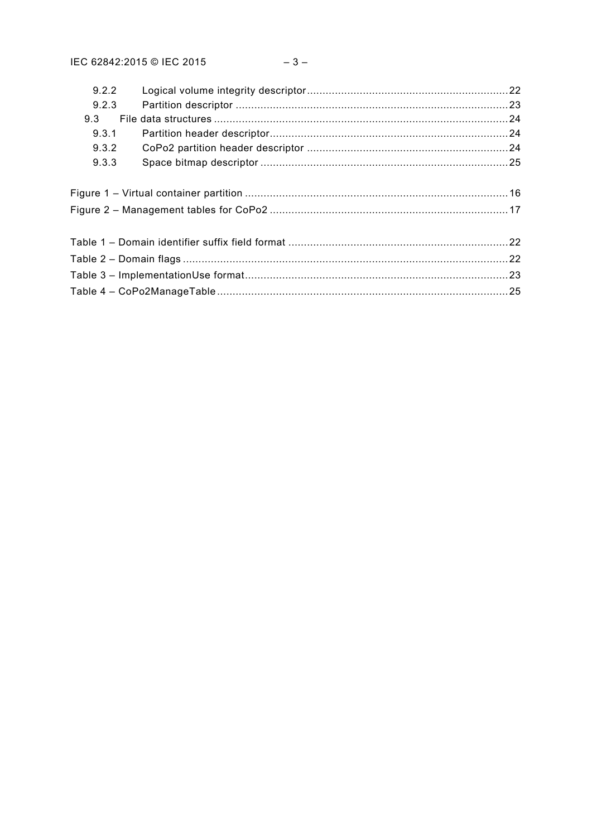|  | 9.2.2 |  |  |  |  |
|--|-------|--|--|--|--|
|  | 9.2.3 |  |  |  |  |
|  | 9.3   |  |  |  |  |
|  | 9.3.1 |  |  |  |  |
|  | 9.3.2 |  |  |  |  |
|  | 9.3.3 |  |  |  |  |
|  |       |  |  |  |  |
|  |       |  |  |  |  |
|  |       |  |  |  |  |
|  |       |  |  |  |  |
|  |       |  |  |  |  |
|  |       |  |  |  |  |
|  |       |  |  |  |  |
|  |       |  |  |  |  |
|  |       |  |  |  |  |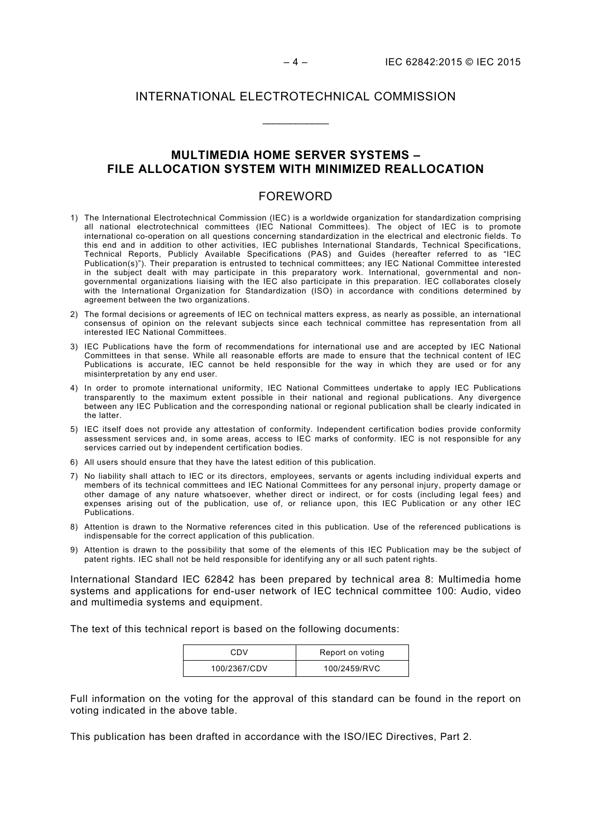## INTERNATIONAL ELECTROTECHNICAL COMMISSION

\_\_\_\_\_\_\_\_\_\_\_\_

## **MULTIMEDIA HOME SERVER SYSTEMS – FILE ALLOCATION SYSTEM WITH MINIMIZED REALLOCATION**

## FOREWORD

- <span id="page-3-0"></span>1) The International Electrotechnical Commission (IEC) is a worldwide organization for standardization comprising all national electrotechnical committees (IEC National Committees). The object of IEC is to promote international co-operation on all questions concerning standardization in the electrical and electronic fields. To this end and in addition to other activities, IEC publishes International Standards, Technical Specifications, Technical Reports, Publicly Available Specifications (PAS) and Guides (hereafter referred to as "IEC Publication(s)"). Their preparation is entrusted to technical committees; any IEC National Committee interested in the subject dealt with may participate in this preparatory work. International, governmental and nongovernmental organizations liaising with the IEC also participate in this preparation. IEC collaborates closely with the International Organization for Standardization (ISO) in accordance with conditions determined by agreement between the two organizations.
- 2) The formal decisions or agreements of IEC on technical matters express, as nearly as possible, an international consensus of opinion on the relevant subjects since each technical committee has representation from all interested IEC National Committees.
- 3) IEC Publications have the form of recommendations for international use and are accepted by IEC National Committees in that sense. While all reasonable efforts are made to ensure that the technical content of IEC Publications is accurate, IEC cannot be held responsible for the way in which they are used or for any misinterpretation by any end user.
- 4) In order to promote international uniformity, IEC National Committees undertake to apply IEC Publications transparently to the maximum extent possible in their national and regional publications. Any divergence between any IEC Publication and the corresponding national or regional publication shall be clearly indicated in the latter.
- 5) IEC itself does not provide any attestation of conformity. Independent certification bodies provide conformity assessment services and, in some areas, access to IEC marks of conformity. IEC is not responsible for any services carried out by independent certification bodies.
- 6) All users should ensure that they have the latest edition of this publication.
- 7) No liability shall attach to IEC or its directors, employees, servants or agents including individual experts and members of its technical committees and IEC National Committees for any personal injury, property damage or other damage of any nature whatsoever, whether direct or indirect, or for costs (including legal fees) and expenses arising out of the publication, use of, or reliance upon, this IEC Publication or any other IEC Publications.
- 8) Attention is drawn to the Normative references cited in this publication. Use of the referenced publications is indispensable for the correct application of this publication.
- 9) Attention is drawn to the possibility that some of the elements of this IEC Publication may be the subject of patent rights. IEC shall not be held responsible for identifying any or all such patent rights.

International Standard IEC 62842 has been prepared by technical area 8: Multimedia home systems and applications for end-user network of IEC technical committee 100: Audio, video and multimedia systems and equipment.

The text of this technical report is based on the following documents:

| CDV          | Report on voting |
|--------------|------------------|
| 100/2367/CDV | 100/2459/RVC     |

Full information on the voting for the approval of this standard can be found in the report on voting indicated in the above table.

This publication has been drafted in accordance with the ISO/IEC Directives, Part 2.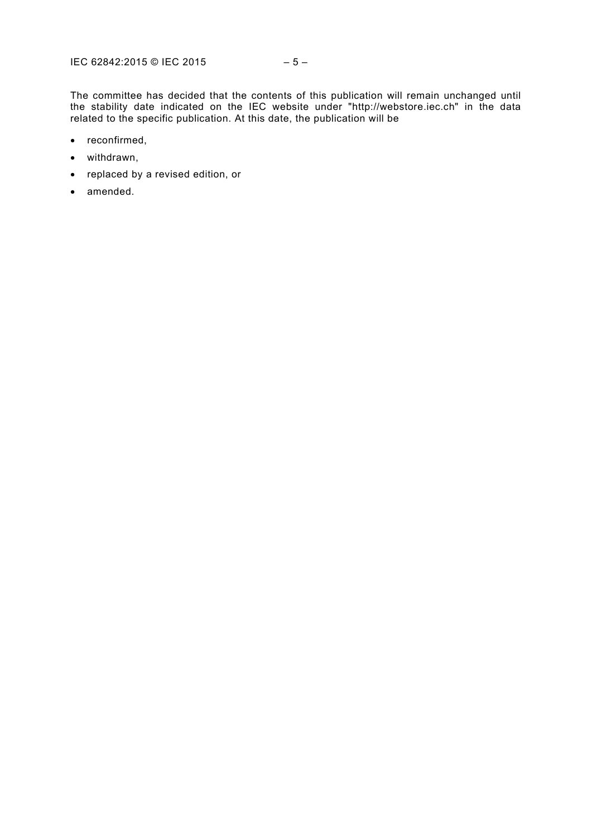The committee has decided that the contents of this publication will remain unchanged until the stability date indicated on the IEC website under "http://webstore.iec.ch" in the data related to the specific publication. At this date, the publication will be

- reconfirmed,
- withdrawn,
- replaced by a revised edition, or
- amended.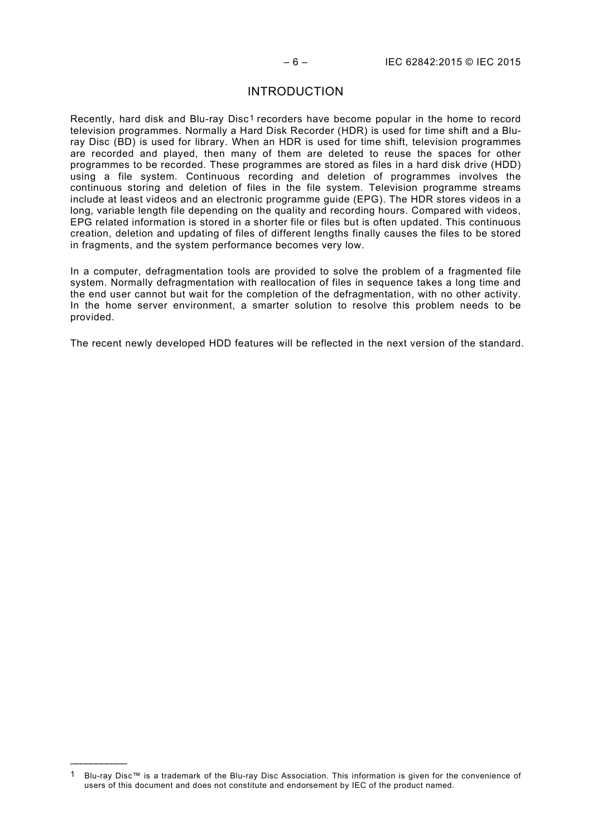## INTRODUCTION

<span id="page-5-0"></span>Recently, hard disk and Blu-ray Disc<sup>[1](#page-5-1)</sup> recorders have become popular in the home to record television programmes. Normally a Hard Disk Recorder (HDR) is used for time shift and a Bluray Disc (BD) is used for library. When an HDR is used for time shift, television programmes are recorded and played, then many of them are deleted to reuse the spaces for other programmes to be recorded. These programmes are stored as files in a hard disk drive (HDD) using a file system. Continuous recording and deletion of programmes involves the continuous storing and deletion of files in the file system. Television programme streams include at least videos and an electronic programme guide (EPG). The HDR stores videos in a long, variable length file depending on the quality and recording hours. Compared with videos, EPG related information is stored in a shorter file or files but is often updated. This continuous creation, deletion and updating of files of different lengths finally causes the files to be stored in fragments, and the system performance becomes very low.

In a computer, defragmentation tools are provided to solve the problem of a fragmented file system. Normally defragmentation with reallocation of files in sequence takes a long time and the end user cannot but wait for the completion of the defragmentation, with no other activity. In the home server environment, a smarter solution to resolve this problem needs to be provided.

The recent newly developed HDD features will be reflected in the next version of the standard.

\_\_\_\_\_\_\_\_\_\_\_\_\_

<span id="page-5-1"></span><sup>1</sup> Blu-ray Disc™ is a trademark of the Blu-ray Disc Association. This information is given for the convenience of users of this document and does not constitute and endorsement by IEC of the product named.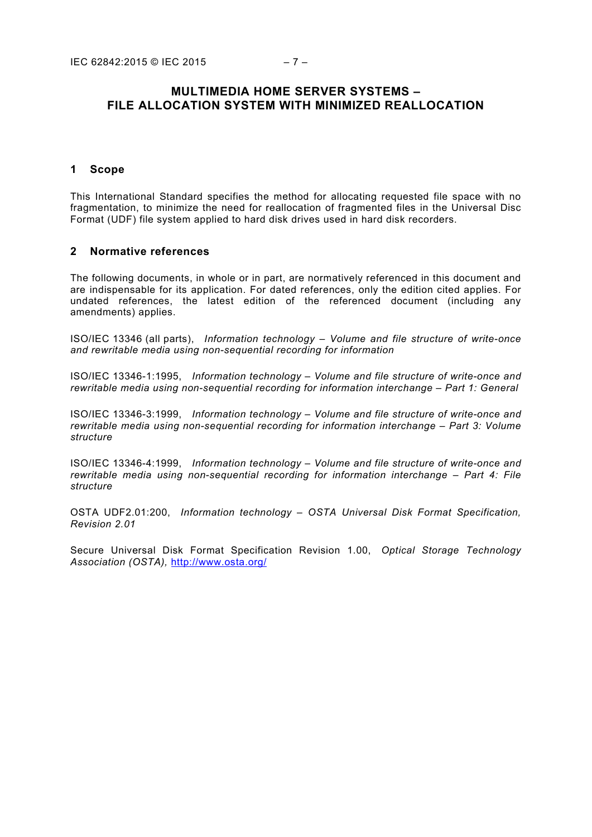## **MULTIMEDIA HOME SERVER SYSTEMS – FILE ALLOCATION SYSTEM WITH MINIMIZED REALLOCATION**

#### <span id="page-6-0"></span>**1 Scope**

This International Standard specifies the method for allocating requested file space with no fragmentation, to minimize the need for reallocation of fragmented files in the Universal Disc Format (UDF) file system applied to hard disk drives used in hard disk recorders.

#### <span id="page-6-1"></span>**2 Normative references**

The following documents, in whole or in part, are normatively referenced in this document and are indispensable for its application. For dated references, only the edition cited applies. For undated references, the latest edition of the referenced document (including any amendments) applies.

ISO/IEC 13346 (all parts), *Information technology – Volume and file structure of write-once and rewritable media using non-sequential recording for information*

ISO/IEC 13346-1:1995, *Information technology – Volume and file structure of write-once and rewritable media using non-sequential recording for information interchange – Part 1: General*

ISO/IEC 13346-3:1999, *Information technology – Volume and file structure of write-once and rewritable media using non-sequential recording for information interchange – Part 3: Volume structure*

ISO/IEC 13346-4:1999, *Information technology – Volume and file structure of write-once and rewritable media using non-sequential recording for information interchange – Part 4: File structure*

OSTA UDF2.01:200, *Information technology – OSTA Universal Disk Format Specification, Revision 2.01*

<span id="page-6-3"></span><span id="page-6-2"></span>Secure Universal Disk Format Specification Revision 1.00, *Optical Storage Technology Association (OSTA),* <http://www.osta.org/>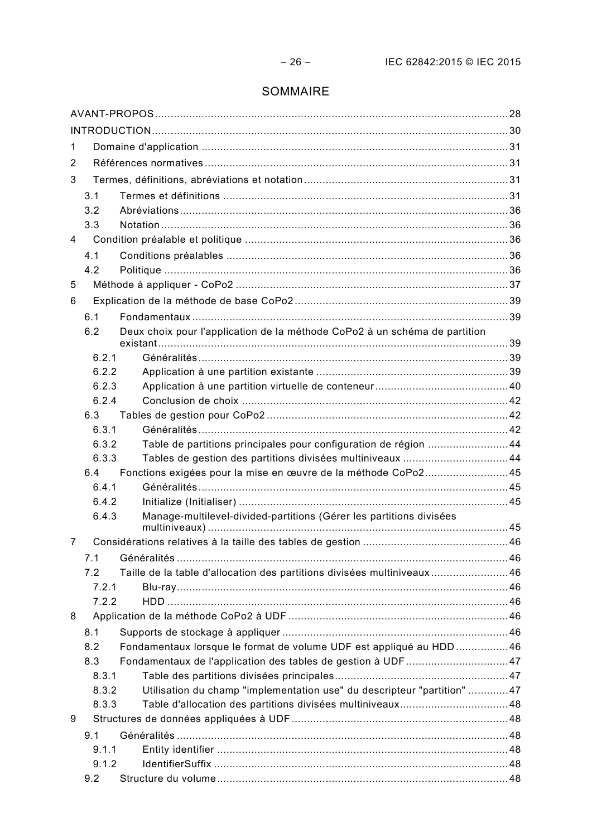# SOMMAIRE

| 1   |                |                                                                            |  |  |  |
|-----|----------------|----------------------------------------------------------------------------|--|--|--|
| 2   |                |                                                                            |  |  |  |
| 3   |                |                                                                            |  |  |  |
|     | 3.1            |                                                                            |  |  |  |
|     | 3.2            |                                                                            |  |  |  |
|     | 3.3            |                                                                            |  |  |  |
| 4   |                |                                                                            |  |  |  |
|     | 4.1            |                                                                            |  |  |  |
|     | 4.2            |                                                                            |  |  |  |
| 5   |                |                                                                            |  |  |  |
| 6   |                |                                                                            |  |  |  |
|     | 6.1            |                                                                            |  |  |  |
|     | 6.2            | Deux choix pour l'application de la méthode CoPo2 à un schéma de partition |  |  |  |
|     | 6.2.1          |                                                                            |  |  |  |
|     | 6.2.2          |                                                                            |  |  |  |
|     | 6.2.3          |                                                                            |  |  |  |
|     | 6.2.4          |                                                                            |  |  |  |
|     | 6.3            |                                                                            |  |  |  |
|     | 6.3.1          |                                                                            |  |  |  |
|     | 6.3.2          | Table de partitions principales pour configuration de région 44            |  |  |  |
|     | 6.3.3          | Tables de gestion des partitions divisées multiniveaux 44                  |  |  |  |
|     | 6.4            | Fonctions exigées pour la mise en œuvre de la méthode CoPo245              |  |  |  |
|     | 6.4.1<br>6.4.2 |                                                                            |  |  |  |
|     | 6.4.3          | Manage-multilevel-divided-partitions (Gérer les partitions divisées        |  |  |  |
|     |                |                                                                            |  |  |  |
| 7   |                |                                                                            |  |  |  |
|     | 7.1            |                                                                            |  |  |  |
|     | 7.2            | Taille de la table d'allocation des partitions divisées multiniveaux46     |  |  |  |
|     | 7.2.1          |                                                                            |  |  |  |
|     | 7.2.2          |                                                                            |  |  |  |
| 8   |                |                                                                            |  |  |  |
|     | 8.1            |                                                                            |  |  |  |
|     | 8.2<br>8.3     | Fondamentaux lorsque le format de volume UDF est appliqué au HDD46         |  |  |  |
|     | 8.3.1          | Fondamentaux de l'application des tables de gestion à UDF47                |  |  |  |
|     | 8.3.2          | Utilisation du champ "implementation use" du descripteur "partition" 47    |  |  |  |
|     | 8.3.3          |                                                                            |  |  |  |
| 9   |                |                                                                            |  |  |  |
| 9.1 |                |                                                                            |  |  |  |
|     | 9.1.1          |                                                                            |  |  |  |
|     | 9.1.2          |                                                                            |  |  |  |
|     | 9.2            |                                                                            |  |  |  |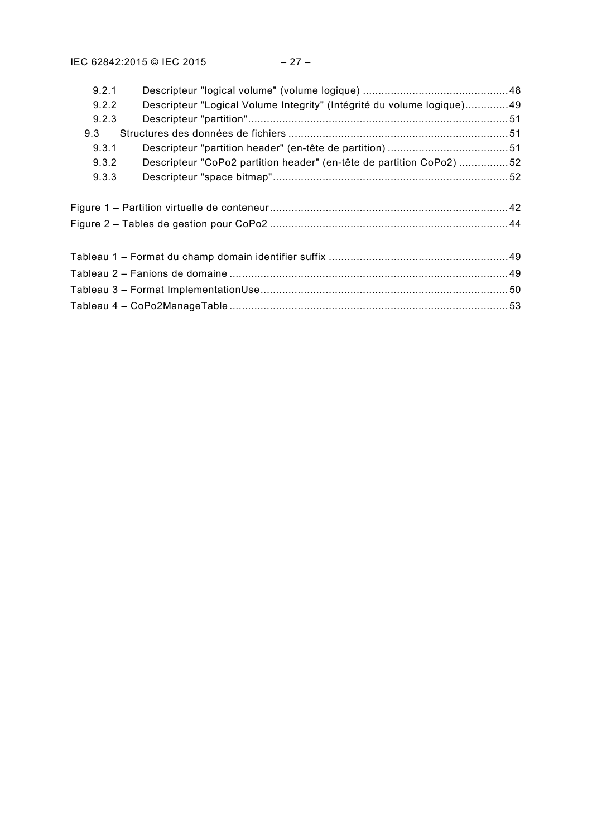| 9.2.1                                                           |                                                                        |  |  |  |
|-----------------------------------------------------------------|------------------------------------------------------------------------|--|--|--|
| 9.2.2                                                           | Descripteur "Logical Volume Integrity" (Intégrité du volume logique)49 |  |  |  |
| 9.2.3                                                           |                                                                        |  |  |  |
| 9.3                                                             |                                                                        |  |  |  |
| 9.3.1                                                           |                                                                        |  |  |  |
| 9.3.2                                                           | Descripteur "CoPo2 partition header" (en-tête de partition CoPo2) 52   |  |  |  |
| 9.3.3                                                           |                                                                        |  |  |  |
|                                                                 |                                                                        |  |  |  |
|                                                                 |                                                                        |  |  |  |
|                                                                 |                                                                        |  |  |  |
|                                                                 |                                                                        |  |  |  |
|                                                                 |                                                                        |  |  |  |
|                                                                 | Tableau 2 – Fanions de domaine …………………………………………………………………………………49       |  |  |  |
| Tableau 3 – Format ImplementationUse…………………………………………………………………50 |                                                                        |  |  |  |
|                                                                 |                                                                        |  |  |  |
|                                                                 |                                                                        |  |  |  |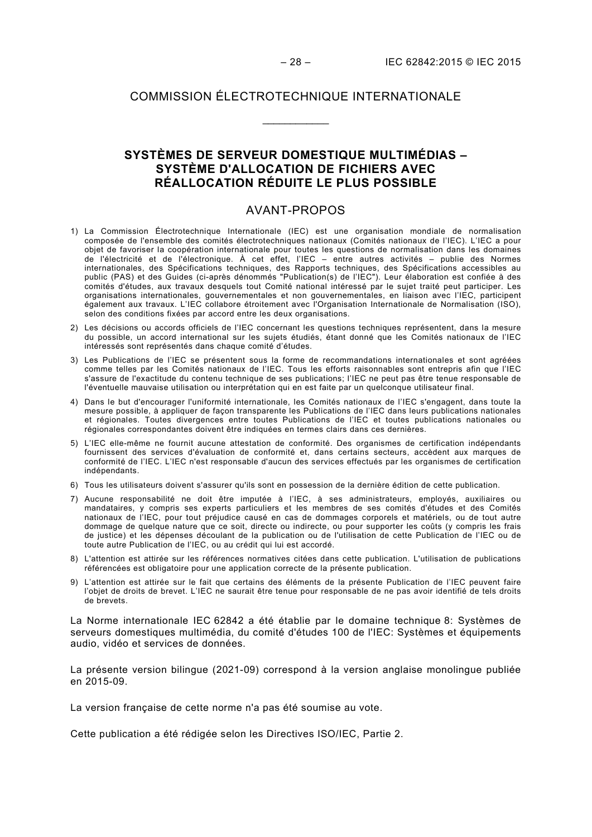## COMMISSION ÉLECTROTECHNIQUE INTERNATIONALE

\_\_\_\_\_\_\_\_\_\_\_\_

# **SYSTÈMES DE SERVEUR DOMESTIQUE MULTIMÉDIAS – SYSTÈME D'ALLOCATION DE FICHIERS AVEC RÉALLOCATION RÉDUITE LE PLUS POSSIBLE**

#### AVANT-PROPOS

- <span id="page-9-0"></span>1) La Commission Électrotechnique Internationale (IEC) est une organisation mondiale de normalisation composée de l'ensemble des comités électrotechniques nationaux (Comités nationaux de l'IEC). L'IEC a pour objet de favoriser la coopération internationale pour toutes les questions de normalisation dans les domaines de l'électricité et de l'électronique. À cet effet, l'IEC – entre autres activités – publie des Normes internationales, des Spécifications techniques, des Rapports techniques, des Spécifications accessibles au public (PAS) et des Guides (ci-après dénommés "Publication(s) de l'IEC"). Leur élaboration est confiée à des comités d'études, aux travaux desquels tout Comité national intéressé par le sujet traité peut participer. Les organisations internationales, gouvernementales et non gouvernementales, en liaison avec l'IEC, participent également aux travaux. L'IEC collabore étroitement avec l'Organisation Internationale de Normalisation (ISO), selon des conditions fixées par accord entre les deux organisations.
- 2) Les décisions ou accords officiels de l'IEC concernant les questions techniques représentent, dans la mesure du possible, un accord international sur les sujets étudiés, étant donné que les Comités nationaux de l'IEC intéressés sont représentés dans chaque comité d'études.
- 3) Les Publications de l'IEC se présentent sous la forme de recommandations internationales et sont agréées comme telles par les Comités nationaux de l'IEC. Tous les efforts raisonnables sont entrepris afin que l'IEC s'assure de l'exactitude du contenu technique de ses publications; l'IEC ne peut pas être tenue responsable de l'éventuelle mauvaise utilisation ou interprétation qui en est faite par un quelconque utilisateur final.
- 4) Dans le but d'encourager l'uniformité internationale, les Comités nationaux de l'IEC s'engagent, dans toute la mesure possible, à appliquer de façon transparente les Publications de l'IEC dans leurs publications nationales et régionales. Toutes divergences entre toutes Publications de l'IEC et toutes publications nationales ou régionales correspondantes doivent être indiquées en termes clairs dans ces dernières.
- 5) L'IEC elle-même ne fournit aucune attestation de conformité. Des organismes de certification indépendants fournissent des services d'évaluation de conformité et, dans certains secteurs, accèdent aux marques de conformité de l'IEC. L'IEC n'est responsable d'aucun des services effectués par les organismes de certification indépendants.
- 6) Tous les utilisateurs doivent s'assurer qu'ils sont en possession de la dernière édition de cette publication.
- 7) Aucune responsabilité ne doit être imputée à l'IEC, à ses administrateurs, employés, auxiliaires ou mandataires, y compris ses experts particuliers et les membres de ses comités d'études et des Comités nationaux de l'IEC, pour tout préjudice causé en cas de dommages corporels et matériels, ou de tout autre dommage de quelque nature que ce soit, directe ou indirecte, ou pour supporter les coûts (y compris les frais de justice) et les dépenses découlant de la publication ou de l'utilisation de cette Publication de l'IEC ou de toute autre Publication de l'IEC, ou au crédit qui lui est accordé.
- 8) L'attention est attirée sur les références normatives citées dans cette publication. L'utilisation de publications référencées est obligatoire pour une application correcte de la présente publication.
- 9) L'attention est attirée sur le fait que certains des éléments de la présente Publication de l'IEC peuvent faire l'objet de droits de brevet. L'IEC ne saurait être tenue pour responsable de ne pas avoir identifié de tels droits de brevets.

La Norme internationale IEC 62842 a été établie par le domaine technique 8: Systèmes de serveurs domestiques multimédia, du comité d'études 100 de l'IEC: Systèmes et équipements audio, vidéo et services de données.

La présente version bilingue (2021-09) correspond à la version anglaise monolingue publiée en 2015-09.

La version française de cette norme n'a pas été soumise au vote.

Cette publication a été rédigée selon les Directives ISO/IEC, Partie 2.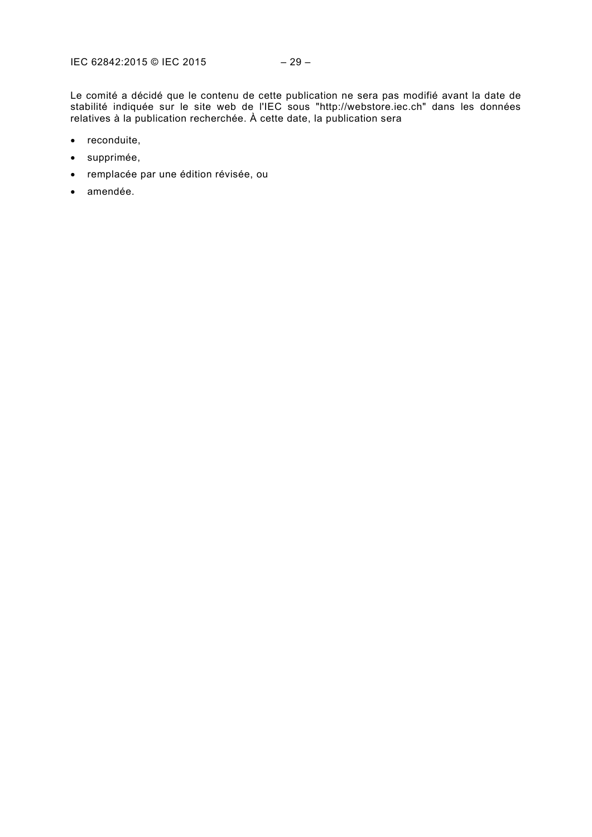Le comité a décidé que le contenu de cette publication ne sera pas modifié avant la date de stabilité indiquée sur le site web de l'IEC sous "http://webstore.iec.ch" dans les données relatives à la publication recherchée. À cette date, la publication sera

- reconduite,
- supprimée,
- remplacée par une édition révisée, ou
- amendée.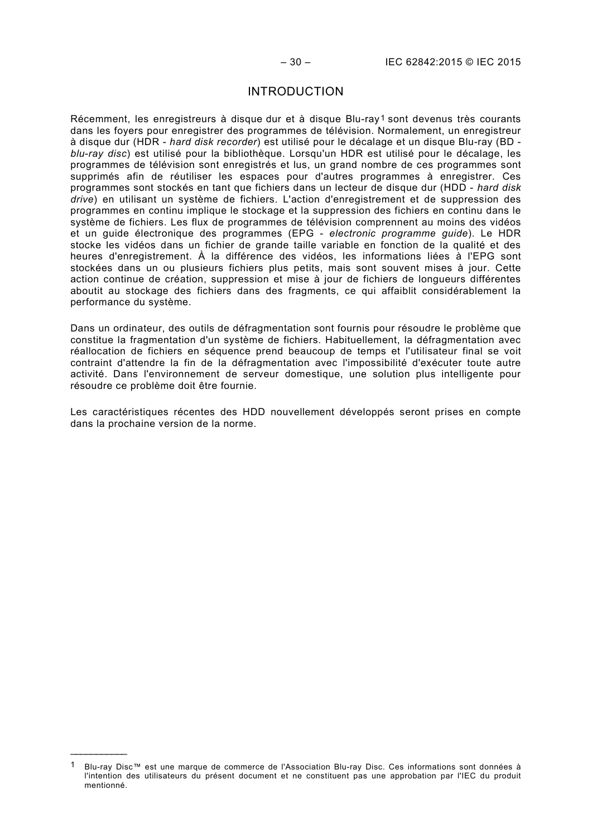# INTRODUCTION

<span id="page-11-0"></span>Récemment, les enregistreurs à disque dur et à disque Blu-ray<sup>[1](#page-11-1)</sup> sont devenus très courants dans les foyers pour enregistrer des programmes de télévision. Normalement, un enregistreur à disque dur (HDR - *hard disk recorder*) est utilisé pour le décalage et un disque Blu-ray (BD *blu-ray disc*) est utilisé pour la bibliothèque. Lorsqu'un HDR est utilisé pour le décalage, les programmes de télévision sont enregistrés et lus, un grand nombre de ces programmes sont supprimés afin de réutiliser les espaces pour d'autres programmes à enregistrer. Ces programmes sont stockés en tant que fichiers dans un lecteur de disque dur (HDD - *hard disk drive*) en utilisant un système de fichiers. L'action d'enregistrement et de suppression des programmes en continu implique le stockage et la suppression des fichiers en continu dans le système de fichiers. Les flux de programmes de télévision comprennent au moins des vidéos et un guide électronique des programmes (EPG - *electronic programme guide*). Le HDR stocke les vidéos dans un fichier de grande taille variable en fonction de la qualité et des heures d'enregistrement. À la différence des vidéos, les informations liées à l'EPG sont stockées dans un ou plusieurs fichiers plus petits, mais sont souvent mises à jour. Cette action continue de création, suppression et mise à jour de fichiers de longueurs différentes aboutit au stockage des fichiers dans des fragments, ce qui affaiblit considérablement la performance du système.

Dans un ordinateur, des outils de défragmentation sont fournis pour résoudre le problème que constitue la fragmentation d'un système de fichiers. Habituellement, la défragmentation avec réallocation de fichiers en séquence prend beaucoup de temps et l'utilisateur final se voit contraint d'attendre la fin de la défragmentation avec l'impossibilité d'exécuter toute autre activité. Dans l'environnement de serveur domestique, une solution plus intelligente pour résoudre ce problème doit être fournie.

Les caractéristiques récentes des HDD nouvellement développés seront prises en compte dans la prochaine version de la norme.

\_\_\_\_\_\_\_\_\_\_\_\_\_\_

<span id="page-11-1"></span>Blu-ray Disc™ est une marque de commerce de l'Association Blu-ray Disc. Ces informations sont données à l'intention des utilisateurs du présent document et ne constituent pas une approbation par l'IEC du produit mentionné.